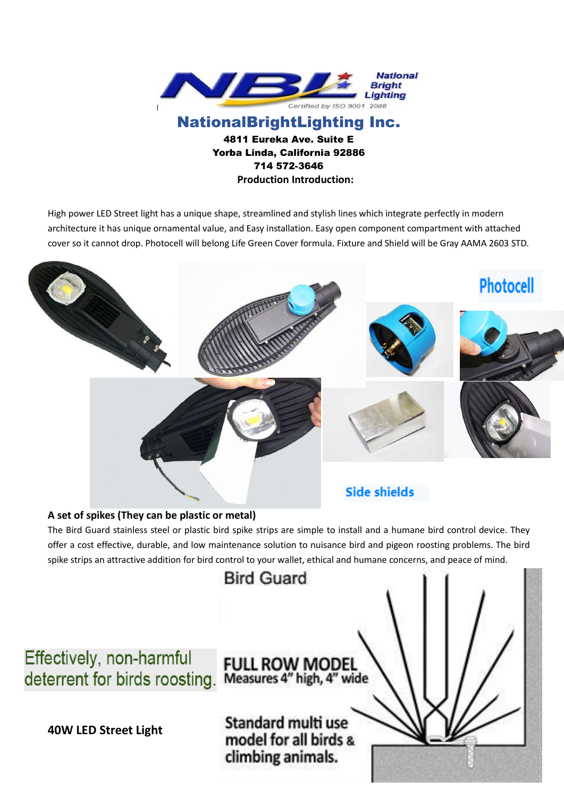

NationalBrightLighting Inc. 4811 Eureka Ave. Suite E Yorba Linda, California 92886 714 572-3646 **Production Introduction:**

High power LED Street light has a unique shape, streamlined and stylish lines which integrate perfectly in modern architecture it has unique ornamental value, and Easy installation. Easy open component compartment with attached cover so it cannot drop. Photocell will belong Life Green Cover formula. Fixture and Shield will be Gray AAMA 2603 STD.



The Bird Guard stainless steel or plastic bird spike strips are simple to install and a humane bird control device. They offer a cost effective, durable, and low maintenance solution to nuisance bird and pigeon roosting problems. The bird spike strips an attractive addition for bird control to your wallet, ethical and humane concerns, and peace of mind.

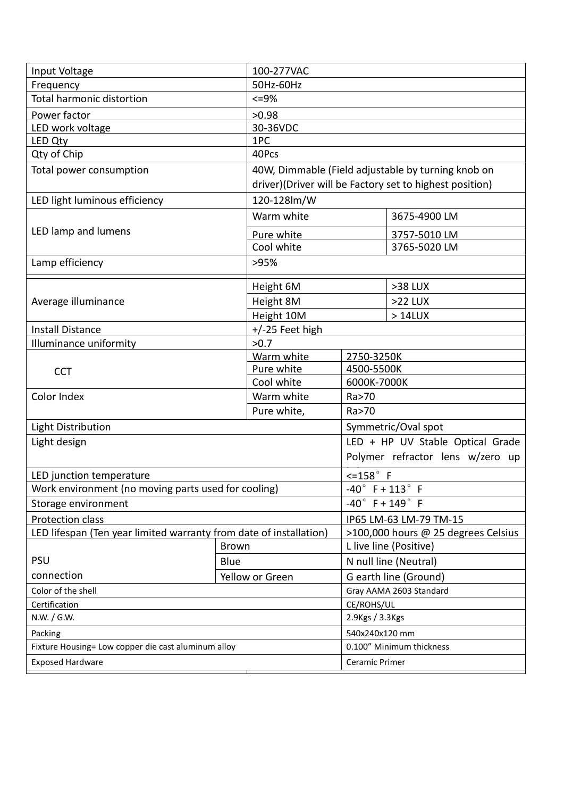| Input Voltage                                                      |                 | 100-277VAC                                              |                                     |                        |  |
|--------------------------------------------------------------------|-----------------|---------------------------------------------------------|-------------------------------------|------------------------|--|
| Frequency                                                          |                 | 50Hz-60Hz                                               |                                     |                        |  |
| <b>Total harmonic distortion</b>                                   |                 | $<=9\%$                                                 |                                     |                        |  |
| Power factor                                                       |                 | >0.98                                                   |                                     |                        |  |
| LED work voltage                                                   |                 | 30-36VDC                                                |                                     |                        |  |
| LED Qty                                                            |                 | 1PC                                                     |                                     |                        |  |
| Qty of Chip                                                        |                 | 40Pcs                                                   |                                     |                        |  |
| Total power consumption                                            |                 | 40W, Dimmable (Field adjustable by turning knob on      |                                     |                        |  |
|                                                                    |                 | driver)(Driver will be Factory set to highest position) |                                     |                        |  |
| LED light luminous efficiency                                      |                 | 120-128lm/W                                             |                                     |                        |  |
| LED lamp and lumens                                                |                 | Warm white                                              |                                     | 3675-4900 LM           |  |
|                                                                    |                 | Pure white                                              |                                     | 3757-5010 LM           |  |
|                                                                    |                 | Cool white                                              |                                     | 3765-5020 LM           |  |
| Lamp efficiency                                                    |                 | >95%                                                    |                                     |                        |  |
| Average illuminance                                                |                 | Height 6M                                               |                                     | >38 LUX                |  |
|                                                                    |                 | Height 8M                                               |                                     | >22 LUX                |  |
|                                                                    |                 | Height 10M                                              |                                     | >14LUX                 |  |
| <b>Install Distance</b>                                            |                 | $+/-25$ Feet high                                       |                                     |                        |  |
| Illuminance uniformity                                             |                 | >0.7                                                    |                                     |                        |  |
| <b>CCT</b>                                                         |                 | Warm white                                              | 2750-3250K                          |                        |  |
|                                                                    |                 | Pure white<br>4500-5500K                                |                                     |                        |  |
|                                                                    |                 | Cool white                                              | 6000K-7000K                         |                        |  |
| Color Index                                                        |                 | Warm white                                              | Ra>70                               |                        |  |
|                                                                    |                 | Pure white,                                             | Ra>70                               |                        |  |
| <b>Light Distribution</b>                                          |                 |                                                         | Symmetric/Oval spot                 |                        |  |
| Light design                                                       |                 |                                                         | LED + HP UV Stable Optical Grade    |                        |  |
|                                                                    |                 |                                                         | Polymer refractor lens w/zero up    |                        |  |
| LED junction temperature                                           |                 |                                                         | $\leq$ 158 $\degree$ F              |                        |  |
| Work environment (no moving parts used for cooling)                |                 |                                                         | $-40^{\circ}$ F + $113^{\circ}$ F   |                        |  |
| Storage environment                                                |                 |                                                         | $-40^{\circ}$ F + 149 $^{\circ}$ F  |                        |  |
| Protection class                                                   |                 |                                                         | IP65 LM-63 LM-79 TM-15              |                        |  |
| LED lifespan (Ten year limited warranty from date of installation) |                 |                                                         | >100,000 hours @ 25 degrees Celsius |                        |  |
|                                                                    | <b>Brown</b>    |                                                         |                                     | L live line (Positive) |  |
| <b>PSU</b>                                                         | Blue            |                                                         | N null line (Neutral)               |                        |  |
| connection                                                         | Yellow or Green |                                                         | G earth line (Ground)               |                        |  |
| Color of the shell                                                 |                 |                                                         | Gray AAMA 2603 Standard             |                        |  |
| Certification                                                      |                 |                                                         | CE/ROHS/UL                          |                        |  |
| N.W. / G.W.                                                        |                 |                                                         | 2.9Kgs / 3.3Kgs                     |                        |  |
| Packing                                                            |                 |                                                         | 540x240x120 mm                      |                        |  |
| Fixture Housing= Low copper die cast aluminum alloy                |                 |                                                         | 0.100" Minimum thickness            |                        |  |
| <b>Exposed Hardware</b>                                            |                 |                                                         | Ceramic Primer                      |                        |  |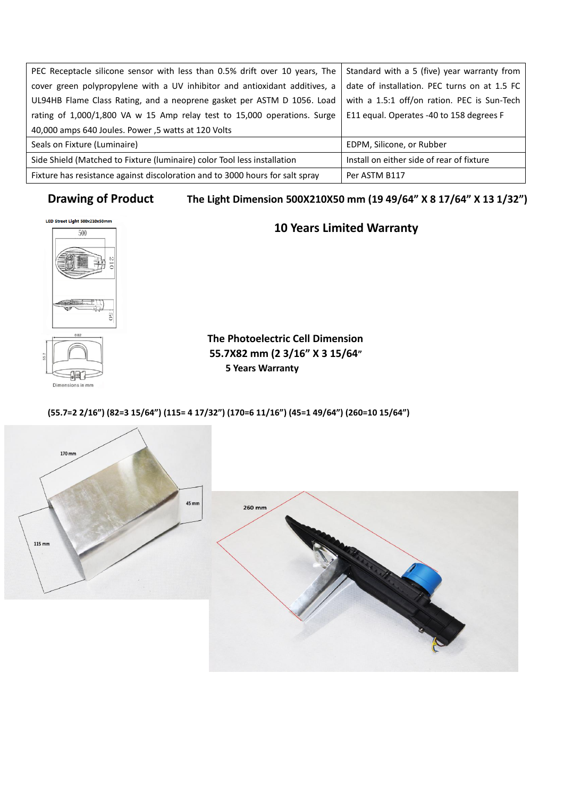| PEC Receptacle silicone sensor with less than 0.5% drift over 10 years, The   | Standard with a 5 (five) year warranty from  |  |  |
|-------------------------------------------------------------------------------|----------------------------------------------|--|--|
| cover green polypropylene with a UV inhibitor and antioxidant additives, a    | date of installation. PEC turns on at 1.5 FC |  |  |
| UL94HB Flame Class Rating, and a neoprene gasket per ASTM D 1056. Load        | with a 1.5:1 off/on ration. PEC is Sun-Tech  |  |  |
| rating of 1,000/1,800 VA w 15 Amp relay test to 15,000 operations. Surge      | E11 equal. Operates -40 to 158 degrees F     |  |  |
| 40,000 amps 640 Joules. Power, 5 watts at 120 Volts                           |                                              |  |  |
| Seals on Fixture (Luminaire)                                                  | EDPM, Silicone, or Rubber                    |  |  |
| Side Shield (Matched to Fixture (luminaire) color Tool less installation      | Install on either side of rear of fixture    |  |  |
| Fixture has resistance against discoloration and to 3000 hours for salt spray | Per ASTM B117                                |  |  |

# **Drawing of Product The Light Dimension 500X210X50 mm (19 49/64" X 8 17/64" X 13 1/32")**



nensions in mm

Din

# LED Street Light 500x210x50mm<br>
<u> **10** Years Limited Warranty</u>

**The Photoelectric Cell Dimension 55.7X82 mm (2 3/16" X 3 15/64" 5 Years Warranty** 

## **(55.7=2 2/16") (82=3 15/64") (115= 4 17/32") (170=6 11/16") (45=1 49/64") (260=10 15/64")**

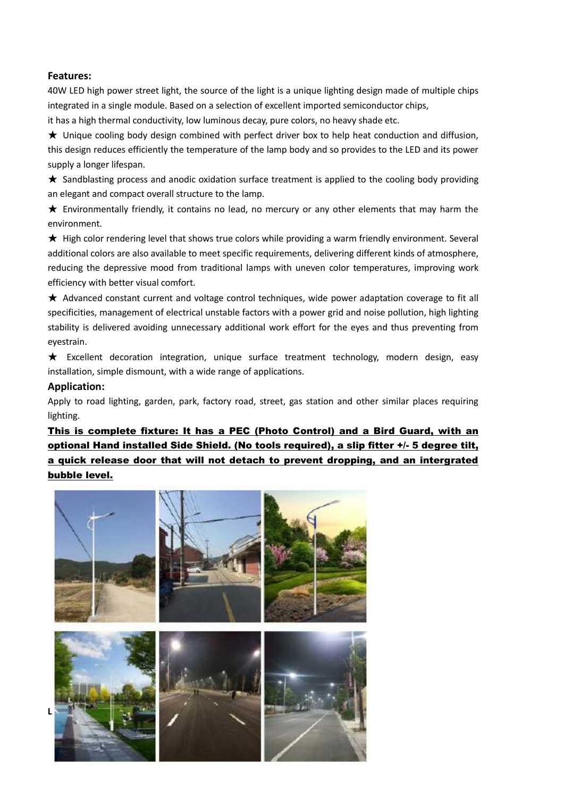#### **Features:**

40W LED high power street light, the source of the light is a unique lighting design made of multiple chips integrated in a single module. Based on a selection of excellent imported semiconductor chips,

it has a high thermal conductivity, low luminous decay, pure colors, no heavy shade etc.

★ Unique cooling body design combined with perfect driver box to help heat conduction and diffusion, this design reduces efficiently the temperature of the lamp body and so provides to the LED and its power supply a longer lifespan.

★ Sandblasting process and anodic oxidation surface treatment is applied to the cooling body providing an elegant and compact overall structure to the lamp.

★ Environmentally friendly, it contains no lead, no mercury or any other elements that may harm the environment.

★ High color rendering level that shows true colors while providing a warm friendly environment. Several additional colors are also available to meet specific requirements, delivering different kinds of atmosphere, reducing the depressive mood from traditional lamps with uneven color temperatures, improving work efficiency with better visual comfort.

★ Advanced constant current and voltage control techniques, wide power adaptation coverage to fit all specificities, management of electrical unstable factors with a power grid and noise pollution, high lighting stability is delivered avoiding unnecessary additional work effort for the eyes and thus preventing from eyestrain.

★ Excellent decoration integration, unique surface treatment technology, modern design, easy installation, simple dismount, with a wide range of applications.

#### **Application:**

Apply to road lighting, garden, park, factory road, street, gas station and other similar places requiring lighting.

This is complete fixture: It has a PEC (Photo Control) and a Bird Guard, with an optional Hand installed Side Shield. (No tools required), a slip fitter +/- 5 degree tilt, a quick release door that will not detach to prevent dropping, and an intergrated bubble level.

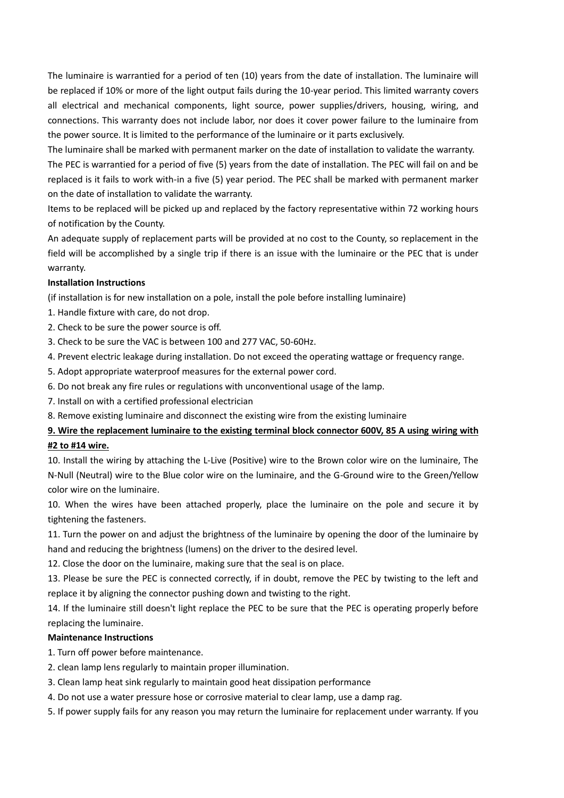The luminaire is warrantied for a period of ten (10) years from the date of installation. The luminaire will be replaced if 10% or more of the light output fails during the 10-year period. This limited warranty covers all electrical and mechanical components, light source, power supplies/drivers, housing, wiring, and connections. This warranty does not include labor, nor does it cover power failure to the luminaire from the power source. It is limited to the performance of the luminaire or it parts exclusively.

The luminaire shall be marked with permanent marker on the date of installation to validate the warranty. The PEC is warrantied for a period of five (5) years from the date of installation. The PEC will fail on and be replaced is it fails to work with-in a five (5) year period. The PEC shall be marked with permanent marker on the date of installation to validate the warranty.

Items to be replaced will be picked up and replaced by the factory representative within 72 working hours of notification by the County.

An adequate supply of replacement parts will be provided at no cost to the County, so replacement in the field will be accomplished by a single trip if there is an issue with the luminaire or the PEC that is under warranty.

#### **Installation Instructions**

(if installation is for new installation on a pole, install the pole before installing luminaire)

- 1. Handle fixture with care, do not drop.
- 2. Check to be sure the power source is off.
- 3. Check to be sure the VAC is between 100 and 277 VAC, 50-60Hz.
- 4. Prevent electric leakage during installation. Do not exceed the operating wattage or frequency range.
- 5. Adopt appropriate waterproof measures for the external power cord.
- 6. Do not break any fire rules or regulations with unconventional usage of the lamp.
- 7. Install on with a certified professional electrician
- 8. Remove existing luminaire and disconnect the existing wire from the existing luminaire

### **9. Wire the replacement luminaire to the existing terminal block connector 600V, 85 A using wiring with #2 to #14 wire.**

10. Install the wiring by attaching the L-Live (Positive) wire to the Brown color wire on the luminaire, The N-Null (Neutral) wire to the Blue color wire on the luminaire, and the G-Ground wire to the Green/Yellow color wire on the luminaire.

10. When the wires have been attached properly, place the luminaire on the pole and secure it by tightening the fasteners.

11. Turn the power on and adjust the brightness of the luminaire by opening the door of the luminaire by hand and reducing the brightness (lumens) on the driver to the desired level.

12. Close the door on the luminaire, making sure that the seal is on place.

13. Please be sure the PEC is connected correctly, if in doubt, remove the PEC by twisting to the left and replace it by aligning the connector pushing down and twisting to the right.

14. If the luminaire still doesn't light replace the PEC to be sure that the PEC is operating properly before replacing the luminaire.

#### **Maintenance Instructions**

1. Turn off power before maintenance.

- 2. clean lamp lens regularly to maintain proper illumination.
- 3. Clean lamp heat sink regularly to maintain good heat dissipation performance
- 4. Do not use a water pressure hose or corrosive material to clear lamp, use a damp rag.
- 5. If power supply fails for any reason you may return the luminaire for replacement under warranty. If you